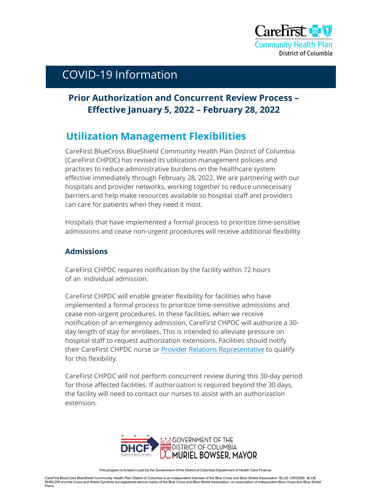

# COVID-19 Information

### **Prior Authorization and Concurrent Review Process – Effective January 5, 2022 – February 28, 2022**

## **Utilization Management Flexibilities**

CareFirst BlueCross BlueShield Community Health Plan District of Columbia (CareFirst CHPDC) has revised its utilization management policies and practices to reduce administrative burdens on the healthcare system effective immediately through February 28, 2022. We are partnering with our hospitals and provider networks, working together to reduce unnecessary barriers and help make resources available so hospital staff and providers can care for patients when they need it most.

Hospitals that have implemented a formal process to prioritize time-sensitive admissions and cease non-urgent procedures will receive additional flexibility.

#### **Admissions**

CareFirst CHPDC requires notification by the facility within 72 hours of an individual admission.

CareFirst CHPDC will enable greater flexibility for facilities who have implemented a formal process to prioritize time-sensitive admissions and cease non-urgent procedures. In these facilities, when we receive notification of an emergency admission, CareFirst CHPDC will authorize a 30 day length of stay for enrollees. This is intended to alleviate pressure on hospital staff to request authorization extensions. Facilities should notify their CareFirst CHPDC nurse or Provider Relations Representative to qualify for this flexibility.

CareFirst CHPDC will not perform concurrent review during this 30-day period for those affected facilities. If authorization is required beyond the 30 days, the facility will need to contact our nurses to assist with an authorization extension.



CareFirst BlueCross BlueShield Community Health Plan District of Columbia is an independent licensee of the Blue Cross and Blue Shield Association. BLUE CROSS®, BLUE SHIELD® and the Cross and Shield Symbols are registered service marks of the Blue Cross and Blue Shield Association, an association of independent Blue Cross and Blue Shield Plans.